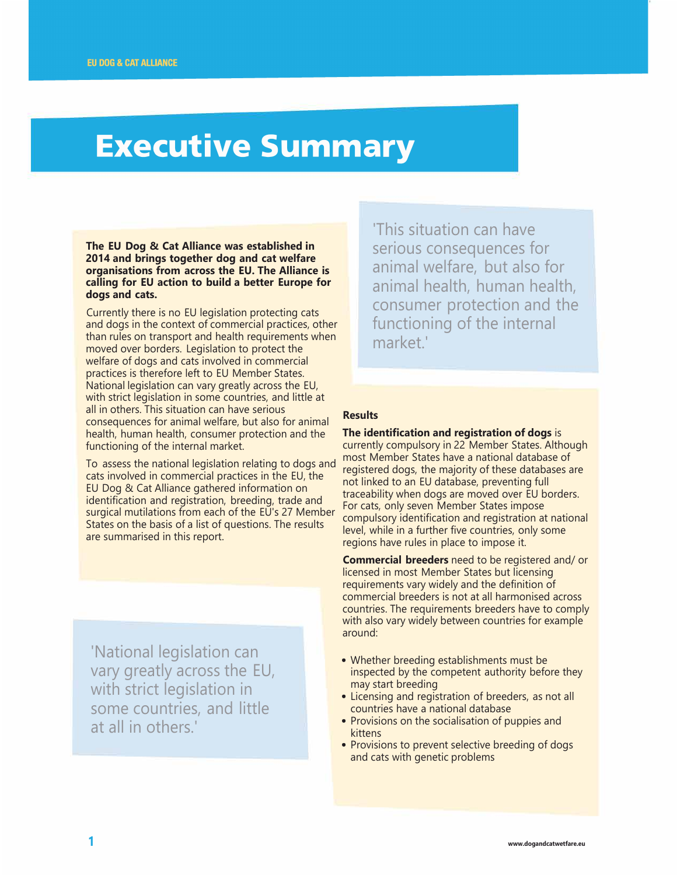## **Executive Summary**

**The EU Dog & Cat Alliance was established in 2014 and brings together dog and cat welfare organisations from across the EU. The Alliance is calling for EU action to build a better Europe for dogs and cats.** 

Currently there is no EU legislation protecting cats and dogs in the context of commercial practices, other than rules on transport and health requirements when moved over borders. Legislation to protect the welfare of dogs and cats involved in commercial practices is therefore left to EU Member States. National legislation can vary greatly across the EU, with strict legislation in some countries, and little at all in others. This situation can have serious consequences for animal welfare, but also for animal health, human health, consumer protection and the functioning of the internal market.

To assess the national legislation relating to dogs and cats involved in commercial practices in the EU, the EU Dog & Cat Alliance gathered information on identification and registration, breeding, trade and surgical mutilations from each of the EU's 27 Member States on the basis of a list of questions. The results are summarised in this report.

'National legislation can vary greatly across the EU, with strict legislation in some countries, and little at all in others.'

'This situation can have serious consequences for animal welfare, but also for animal health, human health, consumer protection and the functioning of the internal market<sup>1</sup>

## **Results**

**The identification and registration of dogs** is currently compulsory in 22 Member States. Although most Member States have a national database of registered dogs, the majority of these databases are not linked to an EU database, preventing full traceability when dogs are moved over EU borders. For cats, only seven Member States impose compulsory identification and registration at national level, while in a further five countries, only some regions have rules in place to impose it.

**Commercial breeders** need to be registered and/ or licensed in most Member States but licensing requirements vary widely and the definition of commercial breeders is not at all harmonised across countries. The requirements breeders have to comply with also vary widely between countries for example around:

- Whether breeding establishments must be inspected by the competent authority before they may start breeding
- Licensing and registration of breeders, as not all countries have a national database
- Provisions on the socialisation of puppies and kittens
- Provisions to prevent selective breeding of dogs and cats with genetic problems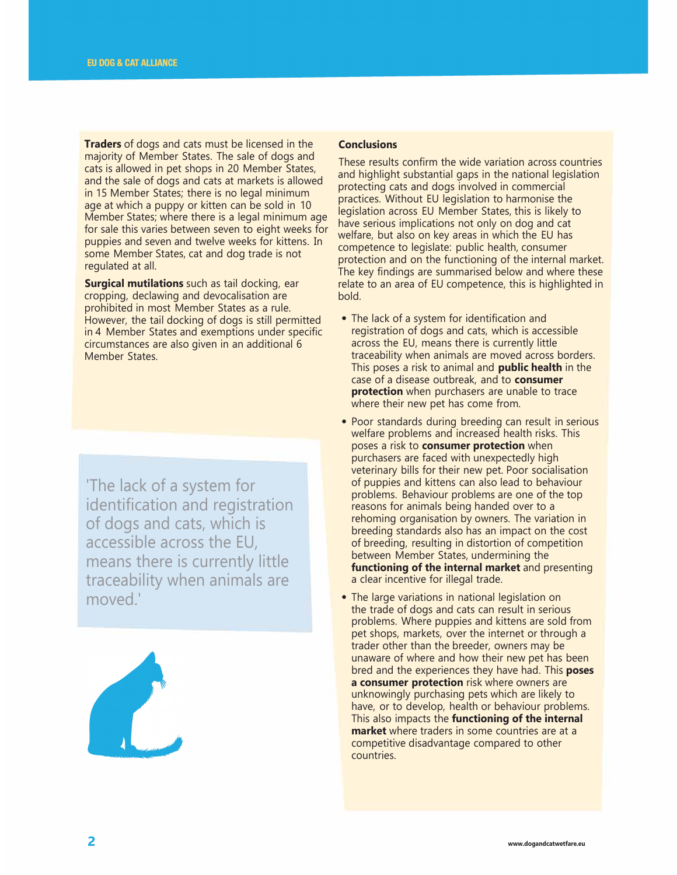**Traders** of dogs and cats must be licensed in the majority of Member States. The sale of dogs and cats is allowed in pet shops in 20 Member States, and the sale of dogs and cats at markets is allowed in 15 Member States; there is no legal minimum age at which a puppy or kitten can be sold in 10 Member States; where there is a legal minimum age for sale this varies between seven to eight weeks for puppies and seven and twelve weeks for kittens. In some Member States, cat and dog trade is not regulated at all.

**Surgical mutilations** such as tail docking, ear cropping, declawing and devocalisation are prohibited in most Member States as a rule. However, the tail docking of dogs is still permitted in 4 Member States and exemptions under specific circumstances are also given in an additional 6 Member States.

'The lack of a system for identification and registration of dogs and cats, which is accessible across the EU, means there is currently little traceability when animals are moved.'



## **Conclusions**

These results confirm the wide variation across countries and highlight substantial gaps in the national legislation protecting cats and dogs involved in commercial practices. Without EU legislation to harmonise the legislation across EU Member States, this is likely to have serious implications not only on dog and cat welfare, but also on key areas in which the EU has competence to legislate: public health, consumer protection and on the functioning of the internal market. The key findings are summarised below and where these relate to an area of EU competence, this is highlighted in bold.

- The lack of a system for identification and registration of dogs and cats, which is accessible across the EU, means there is currently little traceability when animals are moved across borders. This poses a risk to animal and **public health** in the case of a disease outbreak, and to **consumer protection** when purchasers are unable to trace where their new pet has come from.
- Poor standards during breeding can result in serious welfare problems and increased health risks. This poses a risk to **consumer protection** when purchasers are faced with unexpectedly high veterinary bills for their new pet. Poor socialisation of puppies and kittens can also lead to behaviour problems. Behaviour problems are one of the top reasons for animals being handed over to a rehoming organisation by owners. The variation in breeding standards also has an impact on the cost of breeding, resulting in distortion of competition between Member States, undermining the **functioning of the internal market** and presenting a clear incentive for illegal trade.
- The large variations in national legislation on the trade of dogs and cats can result in serious problems. Where puppies and kittens are sold from pet shops, markets, over the internet or through a trader other than the breeder, owners may be unaware of where and how their new pet has been bred and the experiences they have had. This **poses a consumer protection** risk where owners are unknowingly purchasing pets which are likely to have, or to develop, health or behaviour problems. This also impacts the **functioning of the internal market** where traders in some countries are at a competitive disadvantage compared to other countries.